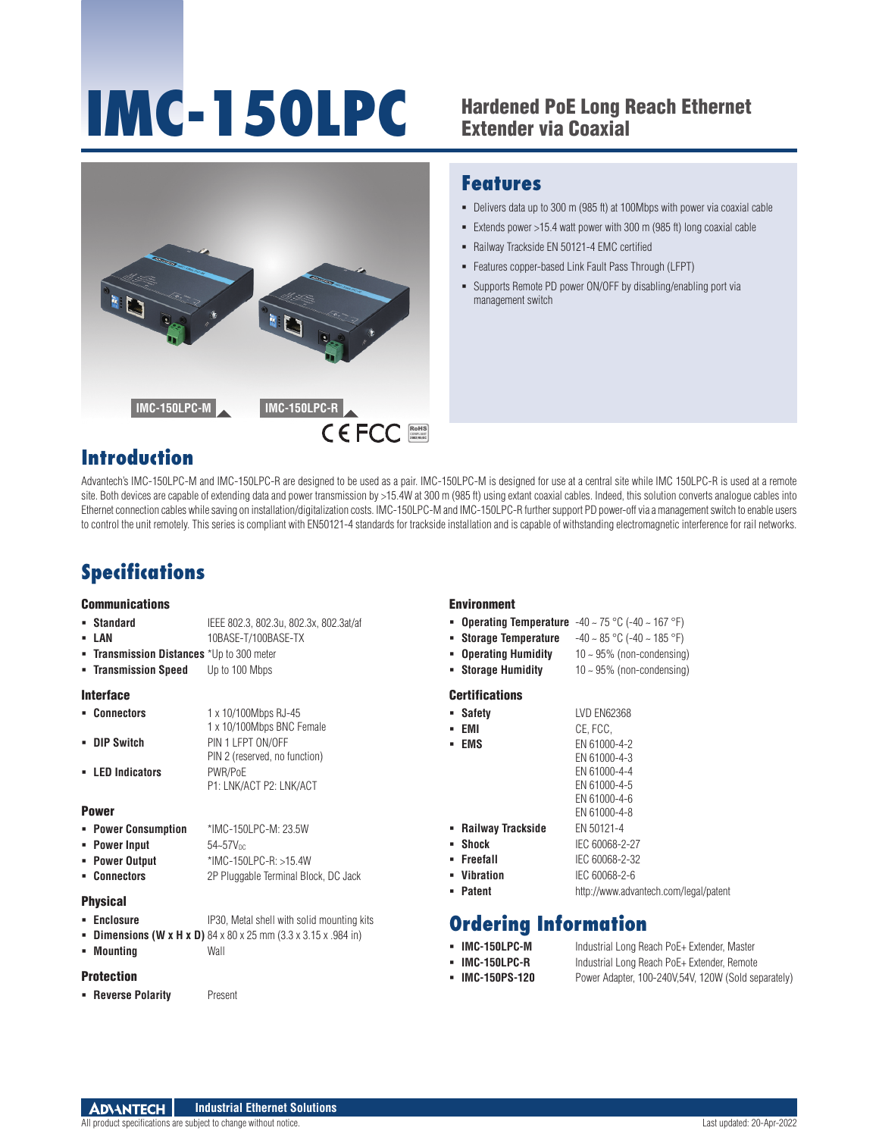# **IMC-150LPC** Hardened PoE Long Reach Ethernet



## **Features**

- Delivers data up to 300 m (985 ft) at 100Mbps with power via coaxial cable
- Extends power  $>15.4$  watt power with 300 m (985 ft) long coaxial cable
- Railway Trackside EN 50121-4 EMC certified
- Features copper-based Link Fault Pass Through (LFPT)
- Supports Remote PD power ON/OFF by disabling/enabling port via management switch

## **Introduction**

Advantech's IMC-150LPC-M and IMC-150LPC-R are designed to be used as a pair. IMC-150LPC-M is designed for use at a central site while IMC 150LPC-R is used at a remote site. Both devices are capable of extending data and power transmission by >15.4W at 300 m (985 ft) using extant coaxial cables. Indeed, this solution converts analogue cables into Ethernet connection cables while saving on installation/digitalization costs. IMC-150LPC-M and IMC-150LPC-R further support PD power-off via a management switch to enable users to control the unit remotely. This series is compliant with EN50121-4 standards for trackside installation and is capable of withstanding electromagnetic interference for rail networks.

## **Specifications**

#### **Communications**

#### **Standard** IEEE 802.3, 802.3u, 802.3x, 802.3at/af

- **LAN** 10BASE-T/100BASE-TX
- **Transmission Distances** \*Up to 300 meter
- **Transmission Speed** Up to 100 Mbps

#### Interface

| • Connectors     | 1 x 10/100Mbps RJ-45          |
|------------------|-------------------------------|
|                  | 1 x 10/100Mbps BNC Female     |
| • DIP Switch     | PIN 1 LFPT ON/OFF             |
|                  | PIN 2 (reserved, no function) |
| - LED Indicators | PWR/PoE                       |
|                  | P1: LNK/ACT P2: LNK/ACT       |

#### Power

- **Power Consumption** \*IMC-150LPC-M: 23.5W **Power Input**  $54-57V_{DC}$
- **Power Output** \*IMC-150LPC-R: >15.4W
- **Connectors** 2P Pluggable Terminal Block, DC Jack

### Physical

- **Enclosure** IP30, Metal shell with solid mounting kits
- **Dimensions (W x H x D)** 84 x 80 x 25 mm (3.3 x 3.15 x .984 in)
- **Mounting** Wall

#### Protection

**Reverse Polarity** Present

#### Environment

- **Operating Temperature** -40 ~ 75 °C (-40 ~ 167 °F)
- **Storage Temperature** -40 ~ 85 °C (-40 ~ 185 °F)
- **Operating Humidity** 10 ~ 95% (non-condensing)
- **Storage Humidity** 10 ~ 95% (non-condensing)

#### **Certifications**

| <b>Safety</b>       | LVD EN62368                           |
|---------------------|---------------------------------------|
| EMI<br>٠            | CE, FCC.                              |
| <b>EMS</b>          | EN 61000-4-2                          |
|                     | EN 61000-4-3                          |
|                     | EN 61000-4-4                          |
|                     | EN 61000-4-5                          |
|                     | EN 61000-4-6                          |
|                     | EN 61000-4-8                          |
| - Railway Trackside | EN 50121-4                            |
| Shock<br>٠          | IEC 60068-2-27                        |
| Freefall            | IEC 60068-2-32                        |
| <b>Vibration</b>    | IEC 60068-2-6                         |
| <b>Patent</b>       | http://www.advantech.com/legal/patent |

## **Ordering Information**

- **IMC-150LPC-M** Industrial Long Reach PoE+ Extender, Master **IMC-150LPC-R** Industrial Long Reach PoE+ Extender, Remote
- **IMC-150PS-120** Power Adapter, 100-240V,54V, 120W (Sold separately)